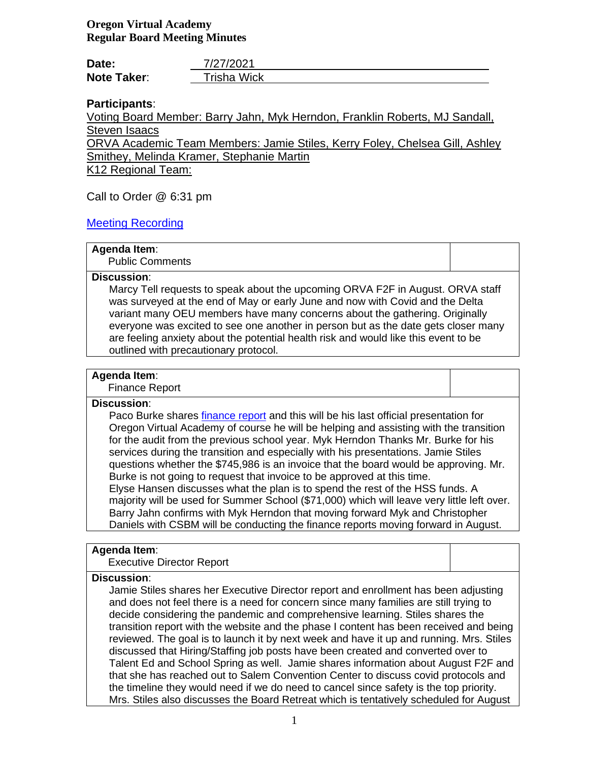# **Oregon Virtual Academy Regular Board Meeting Minutes**

| Date:              | 7/27/2021          |
|--------------------|--------------------|
| <b>Note Taker:</b> | <b>Trisha Wick</b> |

# **Participants**:

Voting Board Member: Barry Jahn, Myk Herndon, Franklin Roberts, MJ Sandall, Steven Isaacs

ORVA Academic Team Members: Jamie Stiles, Kerry Foley, Chelsea Gill, Ashley Smithey, Melinda Kramer, Stephanie Martin

K12 Regional Team:

Call to Order @ 6:31 pm

# [Meeting Recording](https://k12inc-my.sharepoint.com/:v:/g/personal/mecaldwell_oregonva_org/EfxJmr4SFL9OsA1mzriHvV8B-SyMIAoE2ppXu9soJ3N16w)

## **Agenda Item**:

Public Comments

## **Discussion**:

Marcy Tell requests to speak about the upcoming ORVA F2F in August. ORVA staff was surveyed at the end of May or early June and now with Covid and the Delta variant many OEU members have many concerns about the gathering. Originally everyone was excited to see one another in person but as the date gets closer many are feeling anxiety about the potential health risk and would like this event to be outlined with precautionary protocol.

# **Agenda Item**:

Finance Report

## **Discussion**:

Paco Burke shares [finance report](https://k12inc-my.sharepoint.com/:p:/g/personal/mecaldwell_oregonva_org/Edt1qwpo2zRCjam2GD3_AboBvv625pVPh5vMw4jbQsX37Q) and this will be his last official presentation for Oregon Virtual Academy of course he will be helping and assisting with the transition for the audit from the previous school year. Myk Herndon Thanks Mr. Burke for his services during the transition and especially with his presentations. Jamie Stiles questions whether the \$745,986 is an invoice that the board would be approving. Mr. Burke is not going to request that invoice to be approved at this time. Elyse Hansen discusses what the plan is to spend the rest of the HSS funds. A majority will be used for Summer School (\$71,000) which will leave very little left over. Barry Jahn confirms with Myk Herndon that moving forward Myk and Christopher Daniels with CSBM will be conducting the finance reports moving forward in August.

## **Agenda Item**:

Executive Director Report

## **Discussion**:

Jamie Stiles shares her Executive Director report and enrollment has been adjusting and does not feel there is a need for concern since many families are still trying to decide considering the pandemic and comprehensive learning. Stiles shares the transition report with the website and the phase I content has been received and being reviewed. The goal is to launch it by next week and have it up and running. Mrs. Stiles discussed that Hiring/Staffing job posts have been created and converted over to Talent Ed and School Spring as well. Jamie shares information about August F2F and that she has reached out to Salem Convention Center to discuss covid protocols and the timeline they would need if we do need to cancel since safety is the top priority. Mrs. Stiles also discusses the Board Retreat which is tentatively scheduled for August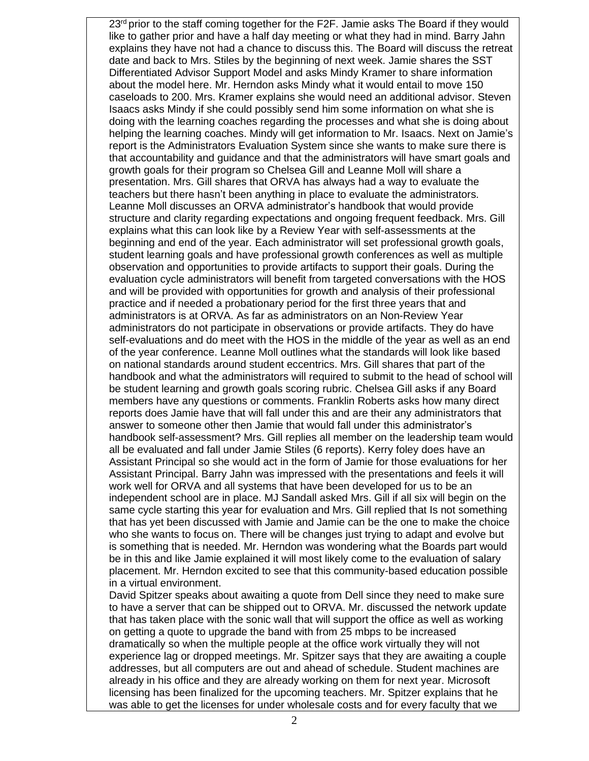$23<sup>rd</sup>$  prior to the staff coming together for the F2F. Jamie asks The Board if they would like to gather prior and have a half day meeting or what they had in mind. Barry Jahn explains they have not had a chance to discuss this. The Board will discuss the retreat date and back to Mrs. Stiles by the beginning of next week. Jamie shares the SST Differentiated Advisor Support Model and asks Mindy Kramer to share information about the model here. Mr. Herndon asks Mindy what it would entail to move 150 caseloads to 200. Mrs. Kramer explains she would need an additional advisor. Steven Isaacs asks Mindy if she could possibly send him some information on what she is doing with the learning coaches regarding the processes and what she is doing about helping the learning coaches. Mindy will get information to Mr. Isaacs. Next on Jamie's report is the Administrators Evaluation System since she wants to make sure there is that accountability and guidance and that the administrators will have smart goals and growth goals for their program so Chelsea Gill and Leanne Moll will share a presentation. Mrs. Gill shares that ORVA has always had a way to evaluate the teachers but there hasn't been anything in place to evaluate the administrators. Leanne Moll discusses an ORVA administrator's handbook that would provide structure and clarity regarding expectations and ongoing frequent feedback. Mrs. Gill explains what this can look like by a Review Year with self-assessments at the beginning and end of the year. Each administrator will set professional growth goals, student learning goals and have professional growth conferences as well as multiple observation and opportunities to provide artifacts to support their goals. During the evaluation cycle administrators will benefit from targeted conversations with the HOS and will be provided with opportunities for growth and analysis of their professional practice and if needed a probationary period for the first three years that and administrators is at ORVA. As far as administrators on an Non-Review Year administrators do not participate in observations or provide artifacts. They do have self-evaluations and do meet with the HOS in the middle of the year as well as an end of the year conference. Leanne Moll outlines what the standards will look like based on national standards around student eccentrics. Mrs. Gill shares that part of the handbook and what the administrators will required to submit to the head of school will be student learning and growth goals scoring rubric. Chelsea Gill asks if any Board members have any questions or comments. Franklin Roberts asks how many direct reports does Jamie have that will fall under this and are their any administrators that answer to someone other then Jamie that would fall under this administrator's handbook self-assessment? Mrs. Gill replies all member on the leadership team would all be evaluated and fall under Jamie Stiles (6 reports). Kerry foley does have an Assistant Principal so she would act in the form of Jamie for those evaluations for her Assistant Principal. Barry Jahn was impressed with the presentations and feels it will work well for ORVA and all systems that have been developed for us to be an independent school are in place. MJ Sandall asked Mrs. Gill if all six will begin on the same cycle starting this year for evaluation and Mrs. Gill replied that Is not something that has yet been discussed with Jamie and Jamie can be the one to make the choice who she wants to focus on. There will be changes just trying to adapt and evolve but is something that is needed. Mr. Herndon was wondering what the Boards part would be in this and like Jamie explained it will most likely come to the evaluation of salary placement. Mr. Herndon excited to see that this community-based education possible in a virtual environment. David Spitzer speaks about awaiting a quote from Dell since they need to make sure

to have a server that can be shipped out to ORVA. Mr. discussed the network update that has taken place with the sonic wall that will support the office as well as working on getting a quote to upgrade the band with from 25 mbps to be increased dramatically so when the multiple people at the office work virtually they will not experience lag or dropped meetings. Mr. Spitzer says that they are awaiting a couple addresses, but all computers are out and ahead of schedule. Student machines are already in his office and they are already working on them for next year. Microsoft licensing has been finalized for the upcoming teachers. Mr. Spitzer explains that he was able to get the licenses for under wholesale costs and for every faculty that we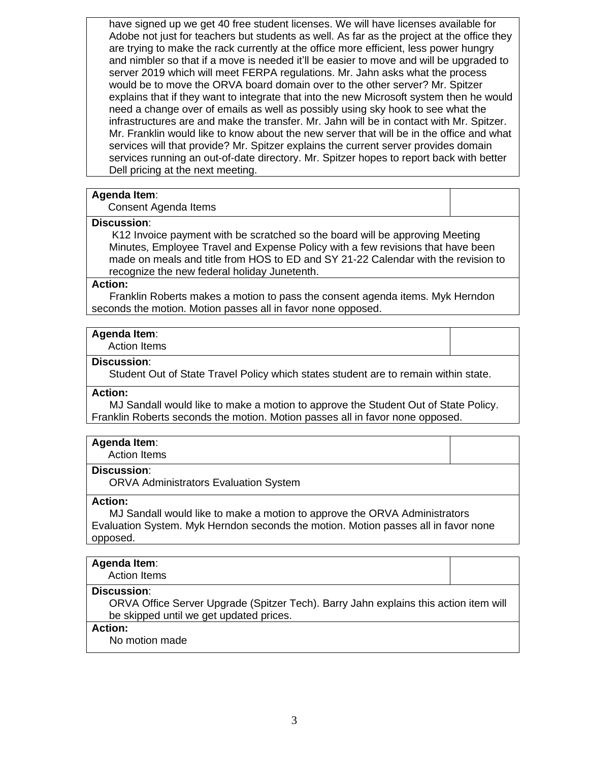have signed up we get 40 free student licenses. We will have licenses available for Adobe not just for teachers but students as well. As far as the project at the office they are trying to make the rack currently at the office more efficient, less power hungry and nimbler so that if a move is needed it'll be easier to move and will be upgraded to server 2019 which will meet FERPA regulations. Mr. Jahn asks what the process would be to move the ORVA board domain over to the other server? Mr. Spitzer explains that if they want to integrate that into the new Microsoft system then he would need a change over of emails as well as possibly using sky hook to see what the infrastructures are and make the transfer. Mr. Jahn will be in contact with Mr. Spitzer. Mr. Franklin would like to know about the new server that will be in the office and what services will that provide? Mr. Spitzer explains the current server provides domain services running an out-of-date directory. Mr. Spitzer hopes to report back with better Dell pricing at the next meeting.

## **Agenda Item**:

Consent Agenda Items

## **Discussion**:

K12 Invoice payment with be scratched so the board will be approving Meeting Minutes, Employee Travel and Expense Policy with a few revisions that have been made on meals and title from HOS to ED and SY 21-22 Calendar with the revision to recognize the new federal holiday Junetenth.

#### **Action:**

 Franklin Roberts makes a motion to pass the consent agenda items. Myk Herndon seconds the motion. Motion passes all in favor none opposed.

## **Agenda Item**:

Action Items

## **Discussion**:

Student Out of State Travel Policy which states student are to remain within state.

## **Action:**

 MJ Sandall would like to make a motion to approve the Student Out of State Policy. Franklin Roberts seconds the motion. Motion passes all in favor none opposed.

## **Agenda Item**:

Action Items

## **Discussion**:

ORVA Administrators Evaluation System

## **Action:**

 MJ Sandall would like to make a motion to approve the ORVA Administrators Evaluation System. Myk Herndon seconds the motion. Motion passes all in favor none opposed.

## **Agenda Item**:

Action Items

## **Discussion**:

ORVA Office Server Upgrade (Spitzer Tech). Barry Jahn explains this action item will be skipped until we get updated prices.

## **Action:**

No motion made